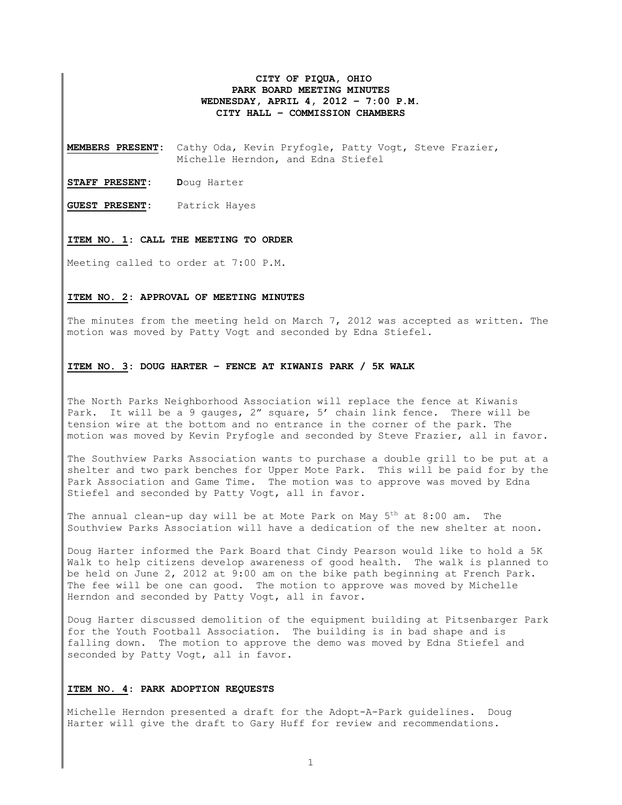# **CITY OF PIQUA, OHIO PARK BOARD MEETING MINUTES WEDNESDAY, APRIL 4, 2012 – 7:00 P.M. CITY HALL – COMMISSION CHAMBERS**

**MEMBERS PRESENT:** Cathy Oda, Kevin Pryfogle, Patty Vogt, Steve Frazier, Michelle Herndon, and Edna Stiefel

**STAFF PRESENT: D**oug Harter

**GUEST PRESENT:** Patrick Hayes

## **ITEM NO. 1: CALL THE MEETING TO ORDER**

Meeting called to order at 7:00 P.M.

#### **ITEM NO. 2: APPROVAL OF MEETING MINUTES**

The minutes from the meeting held on March 7, 2012 was accepted as written. The motion was moved by Patty Vogt and seconded by Edna Stiefel.

## **ITEM NO. 3: DOUG HARTER – FENCE AT KIWANIS PARK / 5K WALK**

The North Parks Neighborhood Association will replace the fence at Kiwanis Park. It will be a 9 gauges, 2" square, 5' chain link fence. There will be tension wire at the bottom and no entrance in the corner of the park. The motion was moved by Kevin Pryfogle and seconded by Steve Frazier, all in favor.

The Southview Parks Association wants to purchase a double grill to be put at a shelter and two park benches for Upper Mote Park. This will be paid for by the Park Association and Game Time. The motion was to approve was moved by Edna Stiefel and seconded by Patty Vogt, all in favor.

The annual clean-up day will be at Mote Park on May  $5<sup>th</sup>$  at  $8:00$  am. The Southview Parks Association will have a dedication of the new shelter at noon.

Doug Harter informed the Park Board that Cindy Pearson would like to hold a 5K Walk to help citizens develop awareness of good health. The walk is planned to be held on June 2, 2012 at 9:00 am on the bike path beginning at French Park. The fee will be one can good. The motion to approve was moved by Michelle Herndon and seconded by Patty Vogt, all in favor.

Doug Harter discussed demolition of the equipment building at Pitsenbarger Park for the Youth Football Association. The building is in bad shape and is falling down. The motion to approve the demo was moved by Edna Stiefel and seconded by Patty Vogt, all in favor.

#### **ITEM NO. 4: PARK ADOPTION REQUESTS**

Michelle Herndon presented a draft for the Adopt-A-Park guidelines. Doug Harter will give the draft to Gary Huff for review and recommendations.